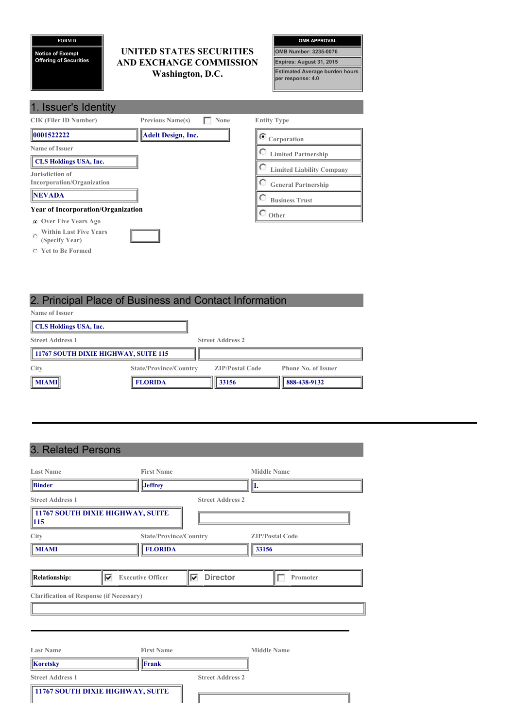#### **FORM D**

**Notice of Exempt Offering of Securities**

1. Issuer in the United States of the United States

# **UNITED STATES SECURITIES AND EXCHANGE COMMISSION Washington, D.C.**

| <b>OMB APPROVAL</b>                                        |  |
|------------------------------------------------------------|--|
| OMB Number: 3235-0076                                      |  |
| Expires: August 31, 2015                                   |  |
| <b>Estimated Average burden hours</b><br>per response: 4.0 |  |

| <b>1. ISSUELS IDENTITY</b>                                 |                           |             |                                  |
|------------------------------------------------------------|---------------------------|-------------|----------------------------------|
| <b>CIK (Filer ID Number)</b>                               | <b>Previous Name(s)</b>   | <b>None</b> | <b>Entity Type</b>               |
| 0001522222                                                 | <b>Adelt Design, Inc.</b> |             | $\sigma$ Corporation             |
| Name of Issuer                                             |                           |             | <b>Limited Partnership</b>       |
| <b>CLS Holdings USA, Inc.</b>                              |                           |             | <b>Limited Liability Company</b> |
| Jurisdiction of<br><b>Incorporation/Organization</b>       |                           |             | <b>General Partnership</b>       |
| <b>NEVADA</b>                                              |                           |             | <b>Business Trust</b>            |
| <b>Year of Incorporation/Organization</b>                  |                           |             | Other                            |
| <b>C</b> Over Five Years Ago                               |                           |             |                                  |
| <b>Within Last Five Years</b><br>$\circ$<br>(Specify Year) |                           |             |                                  |

**Yet to Be Formed**

# 2. Principal Place of Business and Contact Information

| <b>Name of Issuer</b>                |                               |                         |                            |
|--------------------------------------|-------------------------------|-------------------------|----------------------------|
| CLS Holdings USA, Inc.               |                               |                         |                            |
| <b>Street Address 1</b>              |                               | <b>Street Address 2</b> |                            |
| 11767 SOUTH DIXIE HIGHWAY, SUITE 115 |                               |                         |                            |
| City                                 | <b>State/Province/Country</b> | <b>ZIP/Postal Code</b>  | <b>Phone No. of Issuer</b> |
| $\ $ MIAMI $\ $                      | <b>FLORIDA</b>                | 33156                   | 888-438-9132               |

# 3. Related Persons

| <b>Last Name</b>                                | <b>First Name</b>             |                         | <b>Middle Name</b>     |
|-------------------------------------------------|-------------------------------|-------------------------|------------------------|
| <b>Binder</b>                                   | <b>Jeffrey</b>                |                         | II.                    |
| <b>Street Address 1</b>                         |                               | <b>Street Address 2</b> |                        |
| 11767 SOUTH DIXIE HIGHWAY, SUITE<br><b>115</b>  |                               |                         |                        |
| City                                            | <b>State/Province/Country</b> |                         | <b>ZIP/Postal Code</b> |
| <b>MIAMI</b>                                    | <b>FLORIDA</b>                |                         | 33156                  |
|                                                 |                               |                         |                        |
| ⊽<br><b>Relationship:</b>                       | <b>Executive Officer</b>      | <b>Director</b><br>⊽    | Promoter               |
| <b>Clarification of Response (if Necessary)</b> |                               |                         |                        |
|                                                 |                               |                         |                        |
|                                                 |                               |                         |                        |
|                                                 |                               |                         |                        |
| <b>Last Name</b>                                | <b>First Name</b>             |                         | <b>Middle Name</b>     |
| <b>Koretsky</b>                                 | Frank                         |                         |                        |
| <b>Street Address 1</b>                         |                               | <b>Street Address 2</b> |                        |
| 11767 SOUTH DIXIE HIGHWAY, SUITE                |                               |                         |                        |
|                                                 |                               |                         |                        |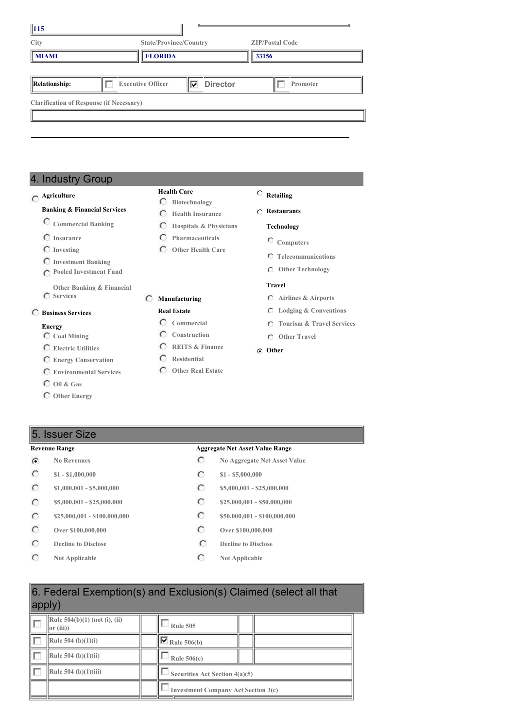| $\vert$ 115                                     |  |                          |   |                 |  |                        |
|-------------------------------------------------|--|--------------------------|---|-----------------|--|------------------------|
| City                                            |  | State/Province/Country   |   |                 |  | <b>ZIP/Postal Code</b> |
| <b>MIAMI</b>                                    |  | <b>FLORIDA</b>           |   | 33156           |  |                        |
|                                                 |  |                          |   |                 |  |                        |
| <b>Relationship:</b>                            |  | <b>Executive Officer</b> | ⊽ | <b>Director</b> |  | Promoter               |
| <b>Clarification of Response (if Necessary)</b> |  |                          |   |                 |  |                        |
|                                                 |  |                          |   |                 |  |                        |
|                                                 |  |                          |   |                 |  |                        |

# 4. Industry Group

# **Agriculture**

#### **Banking & Financial Services**

- **Commercial Banking**
- **Insurance**
- **Investing**
- **Investment Banking**
- **Pooled Investment Fund**
- **Other Banking & Financial**
- **Services**

### **Business Services**

## **Energy**

- **Coal Mining**
- **Electric Utilities**
- **Energy Conservation**
- **Environmental Services**
- **Oil & Gas**
- **Other Energy**

# 5. Issuer Size

## **Revenue Range Aggregate Net Asset Value Range**

### $\widehat{\bullet}$

- $\circ$  $\circ$  $\circ$
- 
- $\circ$
- $\circ$
- $\circ$
- $\circ$

#### **Health Care Biotechnology**

- **Health Insurance**
- $\circ$ **Hospitals & Physicians**
- $\circ$ **Pharmaceuticals**
- **Other Health Care**
	-

# **Manufacturing**

## **Real Estate**

- **Commercial**
- **Construction REITS & Finance**
- **Residential**
- **Other Real Estate**

# **Retailing**

#### **Restaurants**

#### **Technology**

- **Computers**
- **Telecommunications**
- **Other Technology**

#### **Travel**

- **Airlines & Airports**
- **Lodging & Conventions**
- **Tourism & Travel Services**
- **Other Travel**

#### **Other**

- **No Revenues No Aggregate Net Asset Value**
- **\$1 - \$1,000,000 \$1 - \$5,000,000**
- **\$1,000,001 - \$5,000,000 \$5,000,000 \$5,000,001 \$25,000,000**
- **\$5,000,001 - \$25,000,000 \$25,000,001 \$25,000,000 \$25,000,000**
- **\$25,000,001 - \$100,000,000 \$50,000,001 - \$100,000,000**
- **Over \$100,000,000 Over \$100,000,000**
- **Decline to Disclose Decline Decline Disclose**
- **Not Applicable C Not Applicable**

# 6. Federal Exemption(s) and Exclusion(s) Claimed (select all that apply)

| Rule $504(b)(1)$ (not (i), (ii)<br>$\ $ or (iii)) | <b>Rule 505</b>                            |  |  |
|---------------------------------------------------|--------------------------------------------|--|--|
| Rule 504 (b) $(1)(i)$                             | $\sqrt{\phantom{a}}$ Rule 506(b)           |  |  |
| Rule 504 (b) $(1)(ii)$                            | Rule $506(c)$                              |  |  |
| Rule 504 (b) $(1)(iii)$                           | Securities Act Section 4(a)(5)             |  |  |
|                                                   | <b>Investment Company Act Section 3(c)</b> |  |  |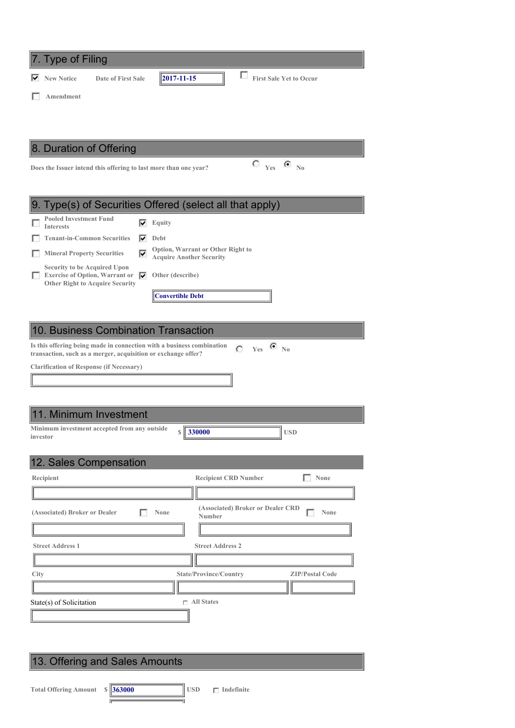| 7. Type of Filing                                                                                                                                        |
|----------------------------------------------------------------------------------------------------------------------------------------------------------|
| П<br><b>First Sale Yet to Occur</b><br>$\vert$ 2017-11-15<br><b>New Notice</b><br>Date of First Sale                                                     |
| <b>Amendment</b>                                                                                                                                         |
|                                                                                                                                                          |
|                                                                                                                                                          |
| 8. Duration of Offering                                                                                                                                  |
| $C_{\text{Yes}}$ $C_{\text{No}}$<br>Does the Issuer intend this offering to last more than one year?                                                     |
|                                                                                                                                                          |
|                                                                                                                                                          |
| 9. Type(s) of Securities Offered (select all that apply)                                                                                                 |
| <b>Pooled Investment Fund</b><br>Equity<br>⊽<br><b>Interests</b>                                                                                         |
| <b>Tenant-in-Common Securities</b><br>Debt<br>⊽                                                                                                          |
| Option, Warrant or Other Right to<br>⊽<br><b>Mineral Property Securities</b><br><b>Acquire Another Security</b>                                          |
| <b>Security to be Acquired Upon</b><br><b>Exercise of Option, Warrant or</b><br>Other (describe)<br>⊽                                                    |
| <b>Other Right to Acquire Security</b>                                                                                                                   |
| <b>Convertible Debt</b>                                                                                                                                  |
|                                                                                                                                                          |
| 10. Business Combination Transaction                                                                                                                     |
| Is this offering being made in connection with a business combination<br>$C$ Yes $C$ No<br>transaction, such as a merger, acquisition or exchange offer? |
| <b>Clarification of Response (if Necessary)</b>                                                                                                          |
|                                                                                                                                                          |
|                                                                                                                                                          |
| 11. Minimum Investment                                                                                                                                   |

| <u>III. IVIII III IIII III IV VOLITIVITL</u>             |             |  |
|----------------------------------------------------------|-------------|--|
| Minimum investment accepted from any outside<br>investor | s    330000 |  |

| 12. Sales Compensation                |                                                            |
|---------------------------------------|------------------------------------------------------------|
| Recipient                             | <b>Recipient CRD Number</b><br>None                        |
|                                       |                                                            |
| (Associated) Broker or Dealer<br>None | (Associated) Broker or Dealer CRD<br>None<br><b>Number</b> |
|                                       |                                                            |
| <b>Street Address 1</b>               | <b>Street Address 2</b>                                    |
|                                       |                                                            |
| City                                  | State/Province/Country<br><b>ZIP/Postal Code</b>           |
|                                       |                                                            |
| State(s) of Solicitation              | $\sqcap$ All States                                        |
|                                       |                                                            |

# 13. Offering and Sales Amounts

Ē

71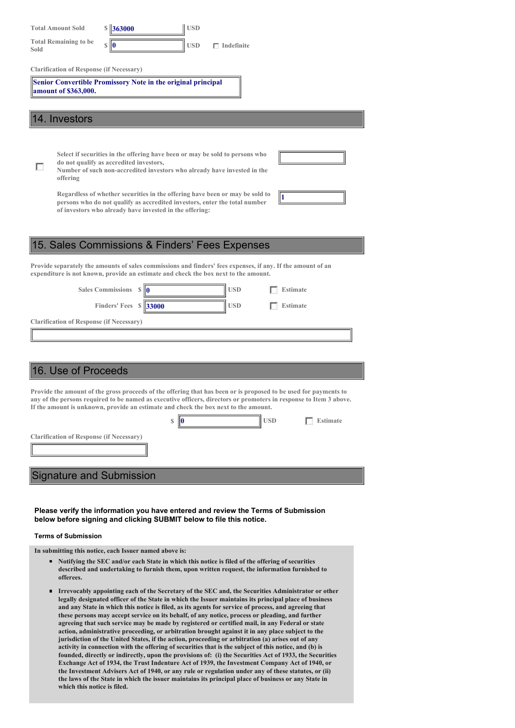| <b>USD</b><br>$\frac{$ 363000}$<br><b>Total Amount Sold</b>                                                                                                                                                                                                                                                                                                                                                                                                                                                                                                                                                                                                                                                                                                                                                                                                                                                                                                                                                                                                                                                                                                                                                                                                                             |
|-----------------------------------------------------------------------------------------------------------------------------------------------------------------------------------------------------------------------------------------------------------------------------------------------------------------------------------------------------------------------------------------------------------------------------------------------------------------------------------------------------------------------------------------------------------------------------------------------------------------------------------------------------------------------------------------------------------------------------------------------------------------------------------------------------------------------------------------------------------------------------------------------------------------------------------------------------------------------------------------------------------------------------------------------------------------------------------------------------------------------------------------------------------------------------------------------------------------------------------------------------------------------------------------|
| <b>Total Remaining to be</b><br><b>USD</b><br>$\mathbb S$<br>$\Box$ Indefinite<br>Sold                                                                                                                                                                                                                                                                                                                                                                                                                                                                                                                                                                                                                                                                                                                                                                                                                                                                                                                                                                                                                                                                                                                                                                                                  |
| <b>Clarification of Response (if Necessary)</b>                                                                                                                                                                                                                                                                                                                                                                                                                                                                                                                                                                                                                                                                                                                                                                                                                                                                                                                                                                                                                                                                                                                                                                                                                                         |
| Senior Convertible Promissory Note in the original principal<br>amount of \$363,000.                                                                                                                                                                                                                                                                                                                                                                                                                                                                                                                                                                                                                                                                                                                                                                                                                                                                                                                                                                                                                                                                                                                                                                                                    |
| 14. Investors                                                                                                                                                                                                                                                                                                                                                                                                                                                                                                                                                                                                                                                                                                                                                                                                                                                                                                                                                                                                                                                                                                                                                                                                                                                                           |
| Select if securities in the offering have been or may be sold to persons who<br>do not qualify as accredited investors,<br>г<br>Number of such non-accredited investors who already have invested in the<br>offering<br>Regardless of whether securities in the offering have been or may be sold to                                                                                                                                                                                                                                                                                                                                                                                                                                                                                                                                                                                                                                                                                                                                                                                                                                                                                                                                                                                    |
| persons who do not qualify as accredited investors, enter the total number<br>of investors who already have invested in the offering:                                                                                                                                                                                                                                                                                                                                                                                                                                                                                                                                                                                                                                                                                                                                                                                                                                                                                                                                                                                                                                                                                                                                                   |
| 15. Sales Commissions & Finders' Fees Expenses                                                                                                                                                                                                                                                                                                                                                                                                                                                                                                                                                                                                                                                                                                                                                                                                                                                                                                                                                                                                                                                                                                                                                                                                                                          |
| Provide separately the amounts of sales commissions and finders' fees expenses, if any. If the amount of an<br>expenditure is not known, provide an estimate and check the box next to the amount.                                                                                                                                                                                                                                                                                                                                                                                                                                                                                                                                                                                                                                                                                                                                                                                                                                                                                                                                                                                                                                                                                      |
| <b>Sales Commissions</b><br><b>USD</b><br>Estimate<br><b>S</b>                                                                                                                                                                                                                                                                                                                                                                                                                                                                                                                                                                                                                                                                                                                                                                                                                                                                                                                                                                                                                                                                                                                                                                                                                          |
| Finders' Fees $\ \$ 33000<br><b>USD</b><br><b>Estimate</b>                                                                                                                                                                                                                                                                                                                                                                                                                                                                                                                                                                                                                                                                                                                                                                                                                                                                                                                                                                                                                                                                                                                                                                                                                              |
| <b>Clarification of Response (if Necessary)</b>                                                                                                                                                                                                                                                                                                                                                                                                                                                                                                                                                                                                                                                                                                                                                                                                                                                                                                                                                                                                                                                                                                                                                                                                                                         |
|                                                                                                                                                                                                                                                                                                                                                                                                                                                                                                                                                                                                                                                                                                                                                                                                                                                                                                                                                                                                                                                                                                                                                                                                                                                                                         |
|                                                                                                                                                                                                                                                                                                                                                                                                                                                                                                                                                                                                                                                                                                                                                                                                                                                                                                                                                                                                                                                                                                                                                                                                                                                                                         |
| 16. Use of Proceeds                                                                                                                                                                                                                                                                                                                                                                                                                                                                                                                                                                                                                                                                                                                                                                                                                                                                                                                                                                                                                                                                                                                                                                                                                                                                     |
| Provide the amount of the gross proceeds of the offering that has been or is proposed to be used for payments to<br>any of the persons required to be named as executive officers, directors or promoters in response to Item 3 above.<br>If the amount is unknown, provide an estimate and check the box next to the amount.<br><b>USD</b><br>$\mathbf{s}$<br><b>Estimate</b>                                                                                                                                                                                                                                                                                                                                                                                                                                                                                                                                                                                                                                                                                                                                                                                                                                                                                                          |
| <b>Clarification of Response (if Necessary)</b>                                                                                                                                                                                                                                                                                                                                                                                                                                                                                                                                                                                                                                                                                                                                                                                                                                                                                                                                                                                                                                                                                                                                                                                                                                         |
|                                                                                                                                                                                                                                                                                                                                                                                                                                                                                                                                                                                                                                                                                                                                                                                                                                                                                                                                                                                                                                                                                                                                                                                                                                                                                         |
| <b>Signature and Submission</b>                                                                                                                                                                                                                                                                                                                                                                                                                                                                                                                                                                                                                                                                                                                                                                                                                                                                                                                                                                                                                                                                                                                                                                                                                                                         |
|                                                                                                                                                                                                                                                                                                                                                                                                                                                                                                                                                                                                                                                                                                                                                                                                                                                                                                                                                                                                                                                                                                                                                                                                                                                                                         |
| Please verify the information you have entered and review the Terms of Submission<br>below before signing and clicking SUBMIT below to file this notice.                                                                                                                                                                                                                                                                                                                                                                                                                                                                                                                                                                                                                                                                                                                                                                                                                                                                                                                                                                                                                                                                                                                                |
| <b>Terms of Submission</b>                                                                                                                                                                                                                                                                                                                                                                                                                                                                                                                                                                                                                                                                                                                                                                                                                                                                                                                                                                                                                                                                                                                                                                                                                                                              |
| In submitting this notice, each Issuer named above is:<br>■ Notifying the SEC and/or each State in which this notice is filed of the offering of securities<br>described and undertaking to furnish them, upon written request, the information furnished to                                                                                                                                                                                                                                                                                                                                                                                                                                                                                                                                                                                                                                                                                                                                                                                                                                                                                                                                                                                                                            |
| offerees.<br>Irrevocably appointing each of the Secretary of the SEC and, the Securities Administrator or other<br>٠<br>legally designated officer of the State in which the Issuer maintains its principal place of business<br>and any State in which this notice is filed, as its agents for service of process, and agreeing that<br>these persons may accept service on its behalf, of any notice, process or pleading, and further<br>agreeing that such service may be made by registered or certified mail, in any Federal or state<br>action, administrative proceeding, or arbitration brought against it in any place subject to the<br>jurisdiction of the United States, if the action, proceeding or arbitration (a) arises out of any<br>activity in connection with the offering of securities that is the subject of this notice, and (b) is<br>founded, directly or indirectly, upon the provisions of: (i) the Securities Act of 1933, the Securities<br>Exchange Act of 1934, the Trust Indenture Act of 1939, the Investment Company Act of 1940, or<br>the Investment Advisers Act of 1940, or any rule or regulation under any of these statutes, or (ii)<br>the laws of the State in which the issuer maintains its principal place of business or any State in |

**which this notice is filed.**